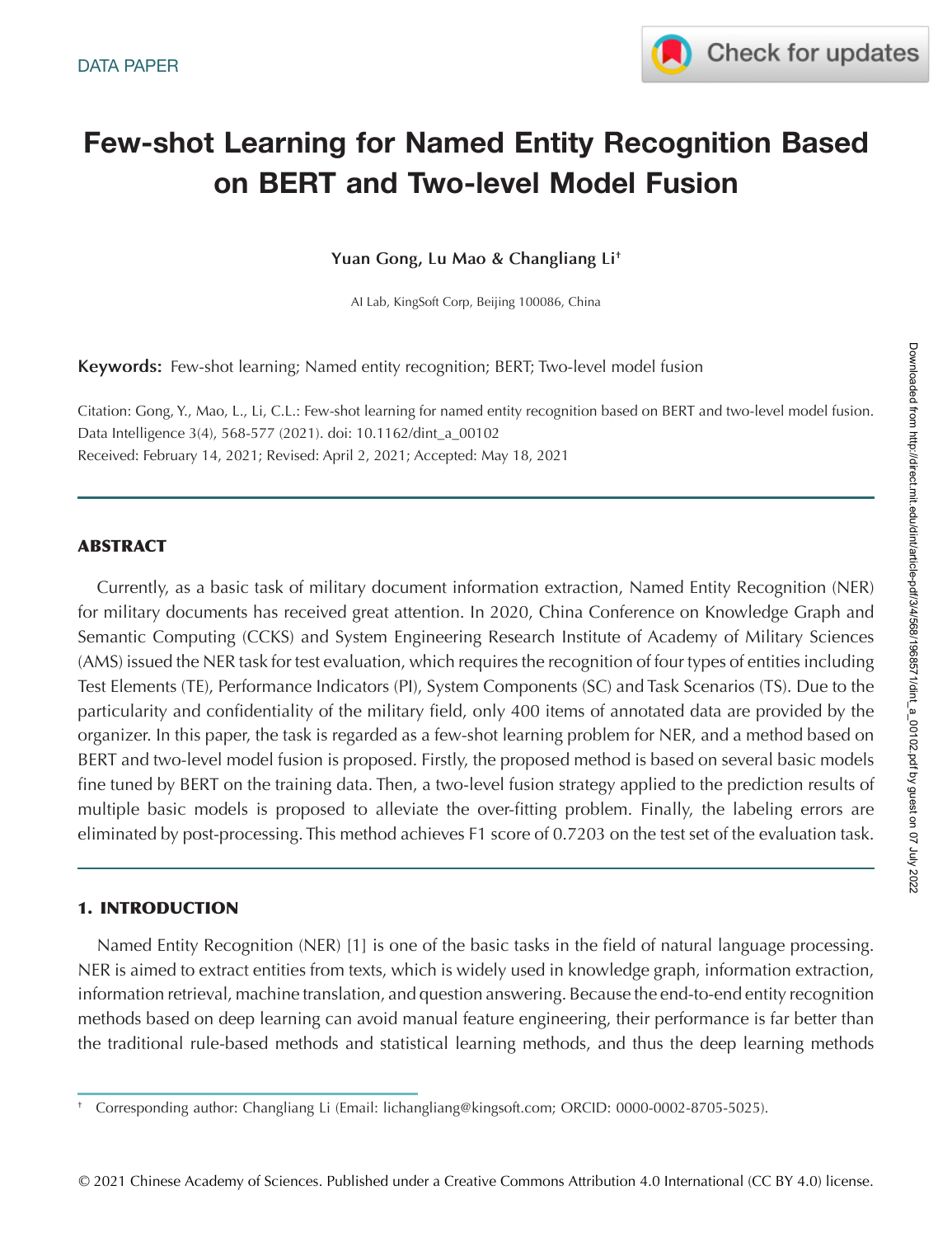

# **Few-shot Learning for Named Entity Recognition Based on BERT and Two-level Model Fusion**

**Yuan Gong, Lu Mao & Changliang Li†**

AI Lab, KingSoft Corp, Beijing 100086, China

**Keywords:** Few-shot learning; Named entity recognition; BERT; Two-level model fusion

Citation: Gong, Y., Mao, L., Li, C.L.: Few-shot learning for named entity recognition based on BERT and two-level model fusion. Data Intelligence 3(4), 568-577 (2021). doi: 10.1162/dint\_a\_00102 Received: February 14, 2021; Revised: April 2, 2021; Accepted: May 18, 2021

## **ABSTRACT**

Currently, as a basic task of military document information extraction, Named Entity Recognition (NER) for military documents has received great attention. In 2020, China Conference on Knowledge Graph and Semantic Computing (CCKS) and System Engineering Research Institute of Academy of Military Sciences (AMS) issued the NER task for test evaluation, which requires the recognition of four types of entities including Test Elements (TE), Performance Indicators (PI), System Components (SC) and Task Scenarios (TS). Due to the particularity and confidentiality of the military field, only 400 items of annotated data are provided by the organizer. In this paper, the task is regarded as a few-shot learning problem for NER, and a method based on BERT and two-level model fusion is proposed. Firstly, the proposed method is based on several basic models fine tuned by BERT on the training data. Then, a two-level fusion strategy applied to the prediction results of multiple basic models is proposed to alleviate the over-fitting problem. Finally, the labeling errors are eliminated by post-processing. This method achieves F1 score of 0.7203 on the test set of the evaluation task.

## **1. INTRODUCTION**

Named Entity Recognition (NER) [1] is one of the basic tasks in the field of natural language processing. NER is aimed to extract entities from texts, which is widely used in knowledge graph, information extraction, information retrieval, machine translation, and question answering. Because the end-to-end entity recognition methods based on deep learning can avoid manual feature engineering, their performance is far better than the traditional rule-based methods and statistical learning methods, and thus the deep learning methods Downloaded from http://direct.mit.edu/dint/article-pdf/3/4/568/1968571/dint\_a\_00102.pdf by guest on 07 July 2022

Downloaded from http://direct.mit.edu/dint/article-pdf/3/4/568/1968571/dint\_a\_00102.pdf by guest on 07 July 2022

<sup>†</sup> Corresponding author: Changliang Li (Email: lichangliang@kingsoft.com; ORCID: 0000-0002-8705-5025).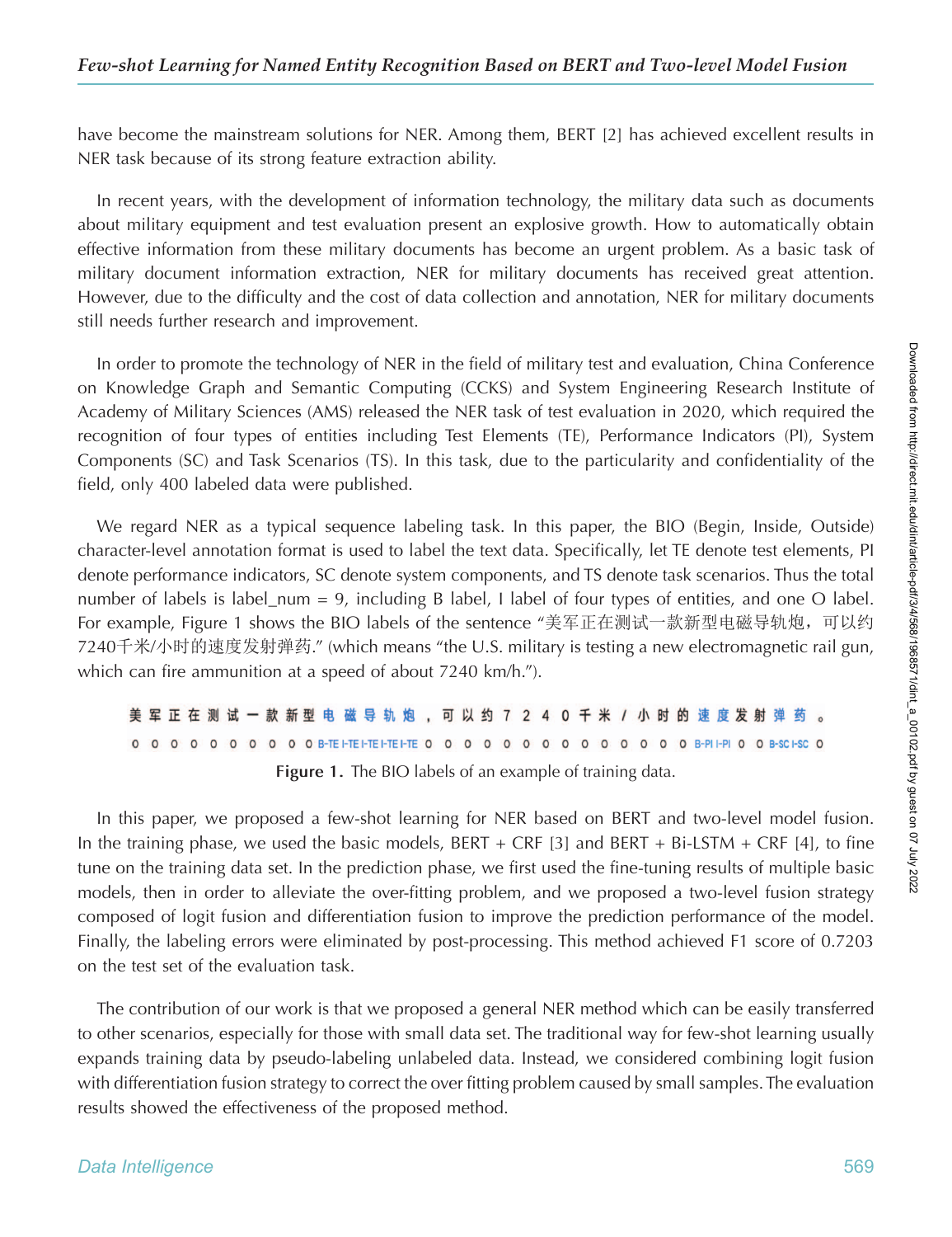have become the mainstream solutions for NER. Among them, BERT [2] has achieved excellent results in NER task because of its strong feature extraction ability.

In recent years, with the development of information technology, the military data such as documents about military equipment and test evaluation present an explosive growth. How to automatically obtain effective information from these military documents has become an urgent problem. As a basic task of military document information extraction, NER for military documents has received great attention. However, due to the difficulty and the cost of data collection and annotation, NER for military documents still needs further research and improvement.

In order to promote the technology of NER in the field of military test and evaluation, China Conference on Knowledge Graph and Semantic Computing (CCKS) and System Engineering Research Institute of Academy of Military Sciences (AMS) released the NER task of test evaluation in 2020, which required the recognition of four types of entities including Test Elements (TE), Performance Indicators (PI), System Components (SC) and Task Scenarios (TS). In this task, due to the particularity and confidentiality of the field, only 400 labeled data were published.

We regard NER as a typical sequence labeling task. In this paper, the BIO (Begin, Inside, Outside) character-level annotation format is used to label the text data. Specifically, let TE denote test elements, PI denote performance indicators, SC denote system components, and TS denote task scenarios. Thus the total number of labels is label\_num = 9, including B label, I label of four types of entities, and one O label. For example, Figure 1 shows the BIO labels of the sentence "美军正在测试一款新型电磁导轨炮,可以约 7240千米/小时的速度发射弹药." (which means "the U.S. military is testing a new electromagnetic rail gun, which can fire ammunition at a speed of about 7240 km/h.").

|  |  |  |  |  | 美 军 正 在 测 试 一 款 新型 电 磁 导 轨 炮 , 可 以 约 7 2 4 0 千 米 / 小 时 的 速 度 发 射 弹 药 。                              |  |  |  |  |  |  |  |  |  |  |  |  |  |
|--|--|--|--|--|-----------------------------------------------------------------------------------------------------|--|--|--|--|--|--|--|--|--|--|--|--|--|
|  |  |  |  |  | 0 0 0 0 0 0 0 0 0 0 B-TEI-TEI-TEI-TEI-TEI-TEI- 0 0 0 0 0 0 0 0 0 0 0 0 0 0 B-PII-PI 0 0 B-SC I-SC 0 |  |  |  |  |  |  |  |  |  |  |  |  |  |
|  |  |  |  |  | Figure 1. The BIO labels of an example of training data.                                            |  |  |  |  |  |  |  |  |  |  |  |  |  |

In this paper, we proposed a few-shot learning for NER based on BERT and two-level model fusion. In the training phase, we used the basic models,  $BERT + CRF$  [3] and  $BERT + Bi-LSTM + CRF$  [4], to fine tune on the training data set. In the prediction phase, we first used the fine-tuning results of multiple basic models, then in order to alleviate the over-fitting problem, and we proposed a two-level fusion strategy composed of logit fusion and differentiation fusion to improve the prediction performance of the model. Finally, the labeling errors were eliminated by post-processing. This method achieved F1 score of 0.7203 on the test set of the evaluation task.

The contribution of our work is that we proposed a general NER method which can be easily transferred to other scenarios, especially for those with small data set. The traditional way for few-shot learning usually expands training data by pseudo-labeling unlabeled data. Instead, we considered combining logit fusion with differentiation fusion strategy to correct the over fitting problem caused by small samples. The evaluation results showed the effectiveness of the proposed method.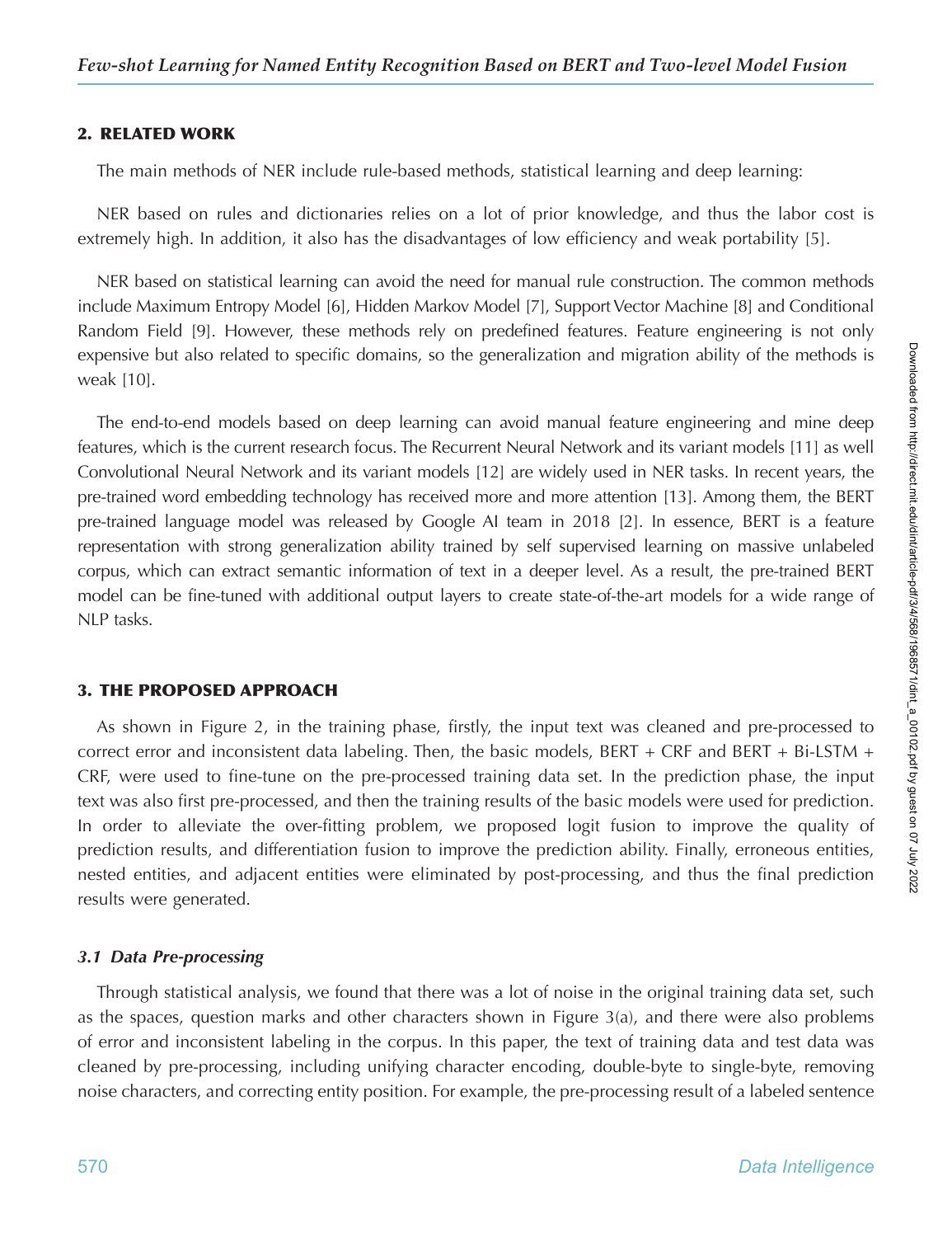## **2. RELATED WORK**

The main methods of NER include rule-based methods, statistical learning and deep learning:

NER based on rules and dictionaries relies on a lot of prior knowledge, and thus the labor cost is extremely high. In addition, it also has the disadvantages of low efficiency and weak portability [5].

NER based on statistical learning can avoid the need for manual rule construction. The common methods include Maximum Entropy Model [6], Hidden Markov Model [7], Support Vector Machine [8] and Conditional Random Field [9]. However, these methods rely on predefined features. Feature engineering is not only expensive but also related to specific domains, so the generalization and migration ability of the methods is weak [10].

The end-to-end models based on deep learning can avoid manual feature engineering and mine deep features, which is the current research focus. The Recurrent Neural Network and its variant models [11] as well Convolutional Neural Network and its variant models [12] are widely used in NER tasks. In recent years, the pre-trained word embedding technology has received more and more attention [13]. Among them, the BERT pre-trained language model was released by Google AI team in 2018 [2]. In essence, BERT is a feature representation with strong generalization ability trained by self supervised learning on massive unlabeled corpus, which can extract semantic information of text in a deeper level. As a result, the pre-trained BERT model can be fine-tuned with additional output layers to create state-of-the-art models for a wide range of NLP tasks.

## **3. THE PROPOSED APPROACH**

As shown in Figure 2, in the training phase, firstly, the input text was cleaned and pre-processed to correct error and inconsistent data labeling. Then, the basic models, BERT + CRF and BERT + Bi-LSTM + CRF, were used to fine-tune on the pre-processed training data set. In the prediction phase, the input text was also first pre-processed, and then the training results of the basic models were used for prediction. In order to alleviate the over-fitting problem, we proposed logit fusion to improve the quality of prediction results, and differentiation fusion to improve the prediction ability. Finally, erroneous entities, nested entities, and adjacent entities were eliminated by post-processing, and thus the final prediction results were generated.

## *3.1 Data Pre-processing*

Through statistical analysis, we found that there was a lot of noise in the original training data set, such as the spaces, question marks and other characters shown in Figure 3(a), and there were also problems of error and inconsistent labeling in the corpus. In this paper, the text of training data and test data was cleaned by pre-processing, including unifying character encoding, double-byte to single-byte, removing noise characters, and correcting entity position. For example, the pre-processing result of a labeled sentence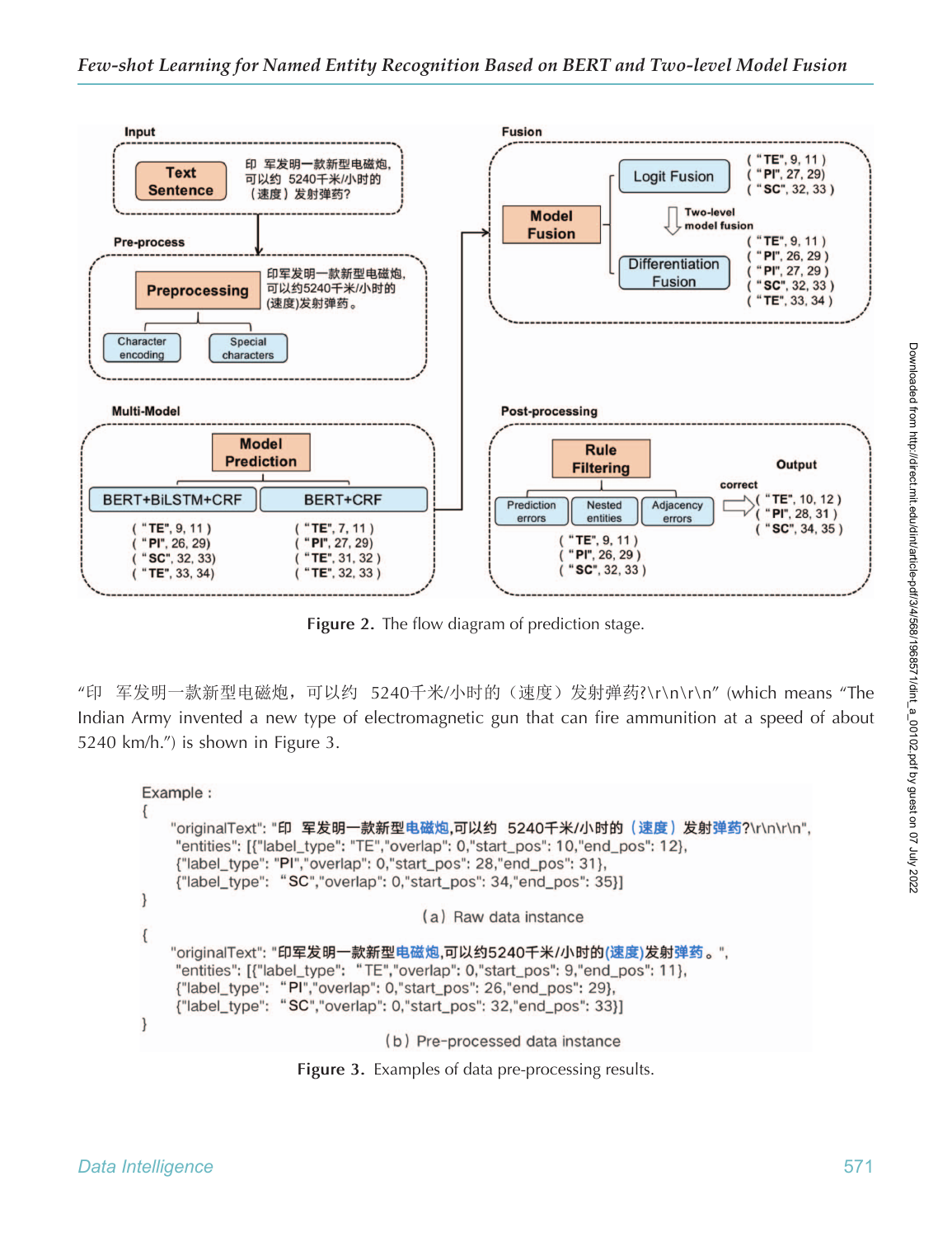

Figure 2. The flow diagram of prediction stage.

"印 军发明一款新型电磁炮,可以约 5240千米/小时的(速度)发射弹药?\r\n\r\n" (which means "The Indian Army invented a new type of electromagnetic gun that can fire ammunition at a speed of about 5240 km/h.") is shown in Figure 3.

```
Example :
    "originalText": "印 军发明一款新型电磁炮,可以约 5240千米/小时的 (速度) 发射弹药?\r\n\r\n",
    "entities": [{"label_type": "TE","overlap": 0,"start_pos": 10,"end_pos": 12},
    {"label_type": "PI","overlap": 0,"start_pos": 28,"end_pos": 31},
    {"label_type": "SC","overlap": 0,"start_pos": 34,"end_pos": 35}]
\mathcal{E}(a) Raw data instance
\{"originalText": "印军发明一款新型电磁炮,可以约5240千米/小时的(速度)发射弹药。",
    "entities": [{"label_type": "TE","overlap": 0,"start_pos": 9,"end_pos": 11},
    {"label_type": "PI","overlap": 0,"start_pos": 26,"end_pos": 29},
    {"label_type": "SC","overlap": 0,"start_pos": 32,"end_pos": 33}]
\mathcal{E}(b) Pre-processed data instance
```
**Figure 3.** Examples of data pre-processing results.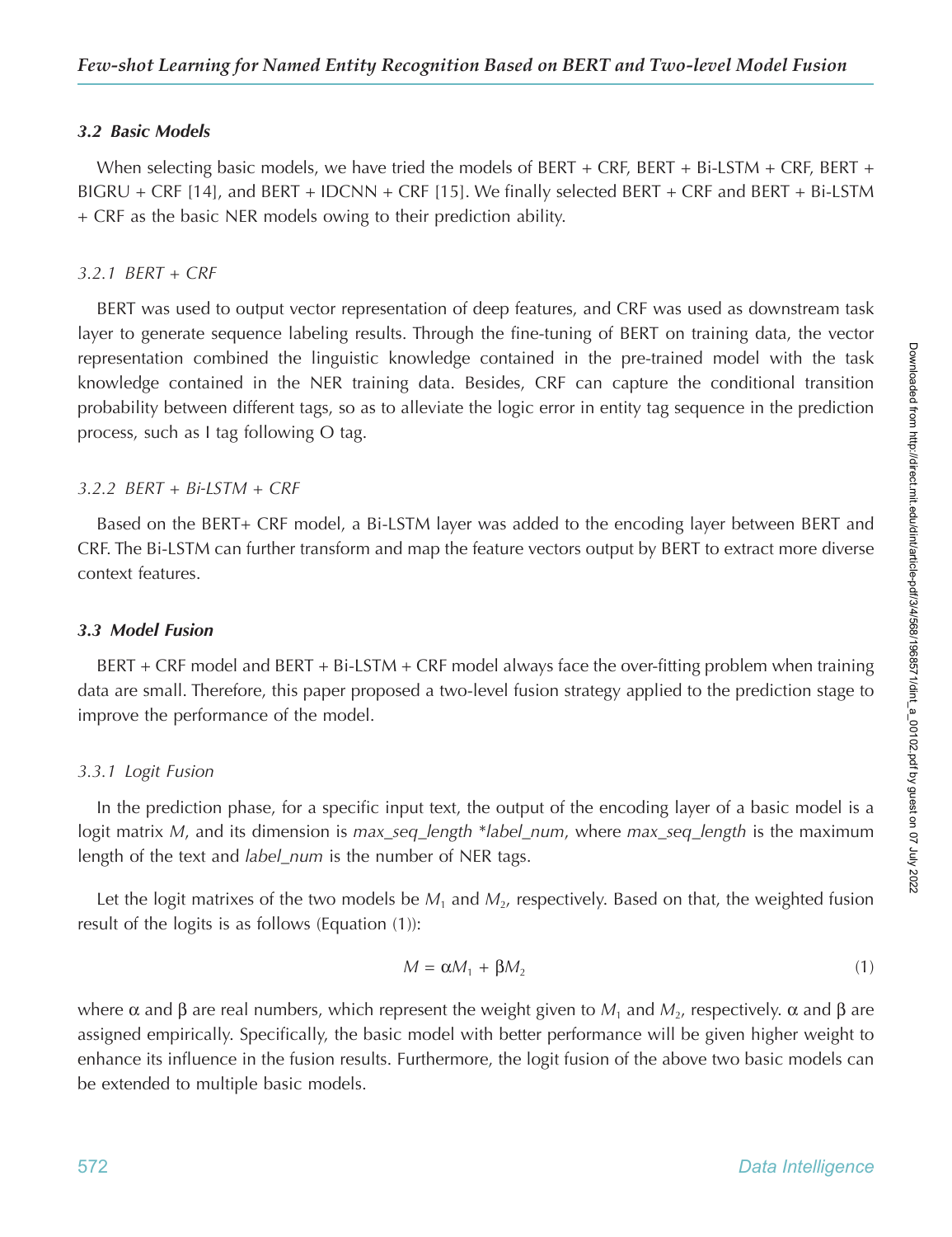### *3.2 Basic Models*

When selecting basic models, we have tried the models of BERT + CRF, BERT + Bi-LSTM + CRF, BERT + BIGRU + CRF [14], and BERT + IDCNN + CRF [15]. We finally selected BERT + CRF and BERT + Bi-LSTM + CRF as the basic NER models owing to their prediction ability.

#### *3.2.1 BERT + CRF*

BERT was used to output vector representation of deep features, and CRF was used as downstream task layer to generate sequence labeling results. Through the fine-tuning of BERT on training data, the vector representation combined the linguistic knowledge contained in the pre-trained model with the task knowledge contained in the NER training data. Besides, CRF can capture the conditional transition probability between different tags, so as to alleviate the logic error in entity tag sequence in the prediction process, such as I tag following O tag.

### *3.2.2 BERT + Bi-LSTM + CRF*

Based on the BERT+ CRF model, a Bi-LSTM layer was added to the encoding layer between BERT and CRF. The Bi-LSTM can further transform and map the feature vectors output by BERT to extract more diverse context features.

#### *3.3 Model Fusion*

BERT + CRF model and BERT + Bi-LSTM + CRF model always face the over-fitting problem when training data are small. Therefore, this paper proposed a two-level fusion strategy applied to the prediction stage to improve the performance of the model.

### *3.3.1 Logit Fusion*

In the prediction phase, for a specific input text, the output of the encoding layer of a basic model is a logit matrix *M*, and its dimension is *max\_seq\_length* \**label\_num*, where *max\_seq\_length* is the maximum length of the text and *label\_num* is the number of NER tags.

Let the logit matrixes of the two models be  $M_1$  and  $M_2$ , respectively. Based on that, the weighted fusion result of the logits is as follows (Equation (1)):

$$
M = \alpha M_1 + \beta M_2 \tag{1}
$$

where α and β are real numbers, which represent the weight given to *M*<sub>1</sub> and *M*<sub>2</sub>, respectively. α and β are assigned empirically. Specifically, the basic model with better performance will be given higher weight to enhance its influence in the fusion results. Furthermore, the logit fusion of the above two basic models can be extended to multiple basic models.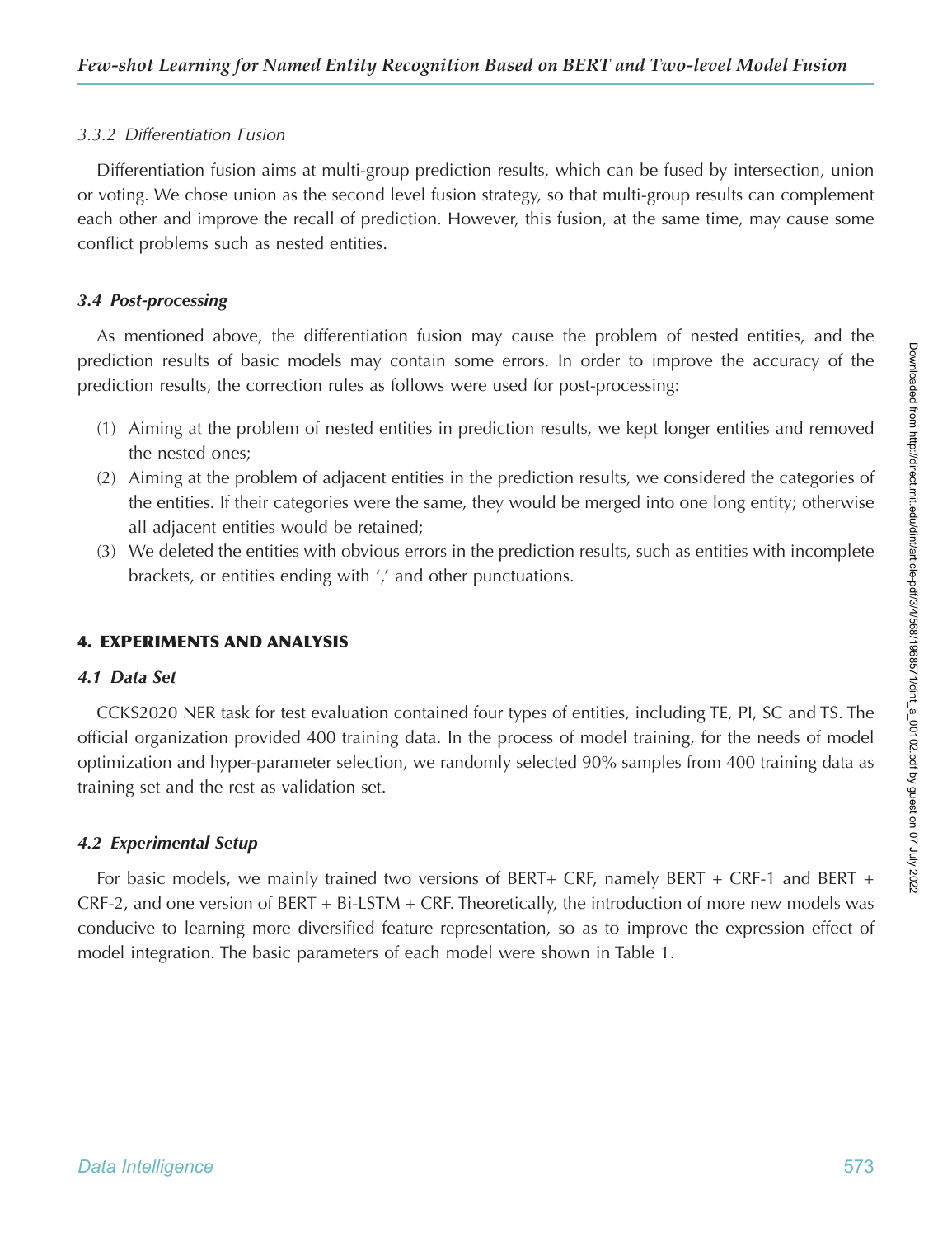# *3.3.2 Differentiation Fusion*

Differentiation fusion aims at multi-group prediction results, which can be fused by intersection, union or voting. We chose union as the second level fusion strategy, so that multi-group results can complement each other and improve the recall of prediction. However, this fusion, at the same time, may cause some conflict problems such as nested entities.

# *3.4 Post-processing*

As mentioned above, the differentiation fusion may cause the problem of nested entities, and the prediction results of basic models may contain some errors. In order to improve the accuracy of the prediction results, the correction rules as follows were used for post-processing:

- (1) Aiming at the problem of nested entities in prediction results, we kept longer entities and removed the nested ones;
- (2) Aiming at the problem of adjacent entities in the prediction results, we considered the categories of the entities. If their categories were the same, they would be merged into one long entity; otherwise all adjacent entities would be retained;
- (3) We deleted the entities with obvious errors in the prediction results, such as entities with incomplete brackets, or entities ending with ',' and other punctuations.

# **4. EXPERIMENTS AND ANALYSIS**

# *4.1 Data Set*

CCKS2020 NER task for test evaluation contained four types of entities, including TE, PI, SC and TS. The official organization provided 400 training data. In the process of model training, for the needs of model optimization and hyper-parameter selection, we randomly selected 90% samples from 400 training data as training set and the rest as validation set.

# *4.2 Experimental Setup*

For basic models, we mainly trained two versions of BERT+ CRF, namely BERT + CRF-1 and BERT + CRF-2, and one version of BERT + Bi-LSTM + CRF. Theoretically, the introduction of more new models was conducive to learning more diversified feature representation, so as to improve the expression effect of model integration. The basic parameters of each model were shown in Table 1.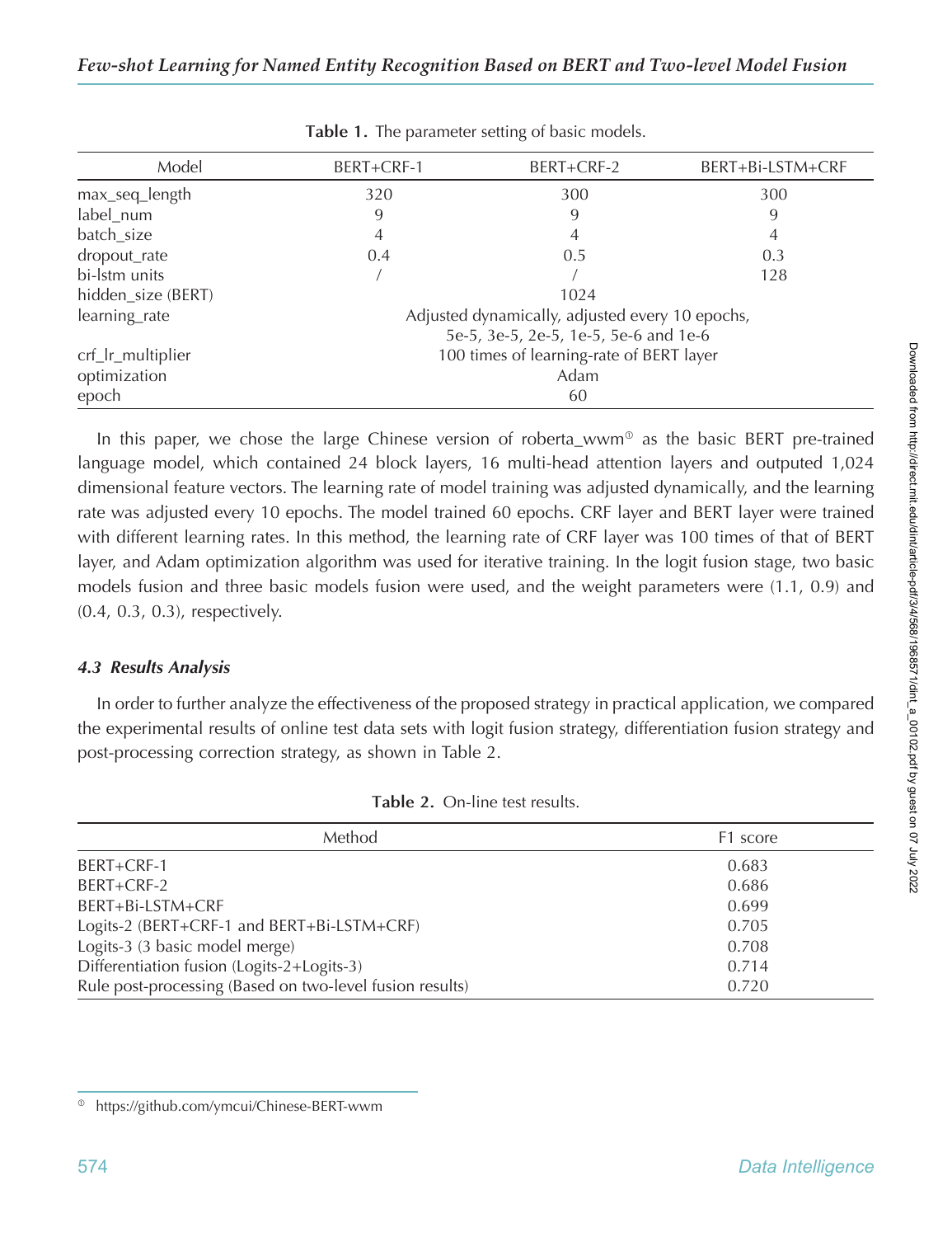|                                                        | BERT+CRF-2 | BERT+Bi-LSTM+CRF |  |  |  |  |  |  |
|--------------------------------------------------------|------------|------------------|--|--|--|--|--|--|
| 320                                                    | 300        | 300              |  |  |  |  |  |  |
| 9                                                      | 9          | 9                |  |  |  |  |  |  |
| 4                                                      | 4          | 4                |  |  |  |  |  |  |
| 0.4                                                    | 0.5        | 0.3              |  |  |  |  |  |  |
|                                                        |            | 128              |  |  |  |  |  |  |
|                                                        | 1024       |                  |  |  |  |  |  |  |
| Adjusted dynamically, adjusted every 10 epochs,        |            |                  |  |  |  |  |  |  |
| learning_rate<br>5e-5, 3e-5, 2e-5, 1e-5, 5e-6 and 1e-6 |            |                  |  |  |  |  |  |  |
| 100 times of learning-rate of BERT layer               |            |                  |  |  |  |  |  |  |
| Adam                                                   |            |                  |  |  |  |  |  |  |
| 60                                                     |            |                  |  |  |  |  |  |  |
|                                                        | BERT+CRF-1 |                  |  |  |  |  |  |  |

**Table 1.** The parameter setting of basic models.

In this paper, we chose the large Chinese version of roberta wwm<sup>®</sup> as the basic BERT pre-trained language model, which contained 24 block layers, 16 multi-head attention layers and outputed 1,024 dimensional feature vectors. The learning rate of model training was adjusted dynamically, and the learning rate was adjusted every 10 epochs. The model trained 60 epochs. CRF layer and BERT layer were trained with different learning rates. In this method, the learning rate of CRF layer was 100 times of that of BERT layer, and Adam optimization algorithm was used for iterative training. In the logit fusion stage, two basic models fusion and three basic models fusion were used, and the weight parameters were (1.1, 0.9) and (0.4, 0.3, 0.3), respectively.

# *4.3 Results Analysis*

In order to further analyze the effectiveness of the proposed strategy in practical application, we compared the experimental results of online test data sets with logit fusion strategy, differentiation fusion strategy and post-processing correction strategy, as shown in Table 2.

| Method                                                   | F1 score |
|----------------------------------------------------------|----------|
| BERT+CRF-1                                               | 0.683    |
| BERT+CRF-2                                               | 0.686    |
| BERT+Bi-LSTM+CRF                                         | 0.699    |
| Logits-2 (BERT+CRF-1 and BERT+Bi-LSTM+CRF)               | 0.705    |
| Logits-3 (3 basic model merge)                           | 0.708    |
| Differentiation fusion (Logits-2+Logits-3)               | 0.714    |
| Rule post-processing (Based on two-level fusion results) | 0.720    |

|  | Table 2. On-line test results. |
|--|--------------------------------|
|  |                                |

<sup>&</sup>lt;sup>®</sup> https://github.com/ymcui/Chinese-BERT-wwm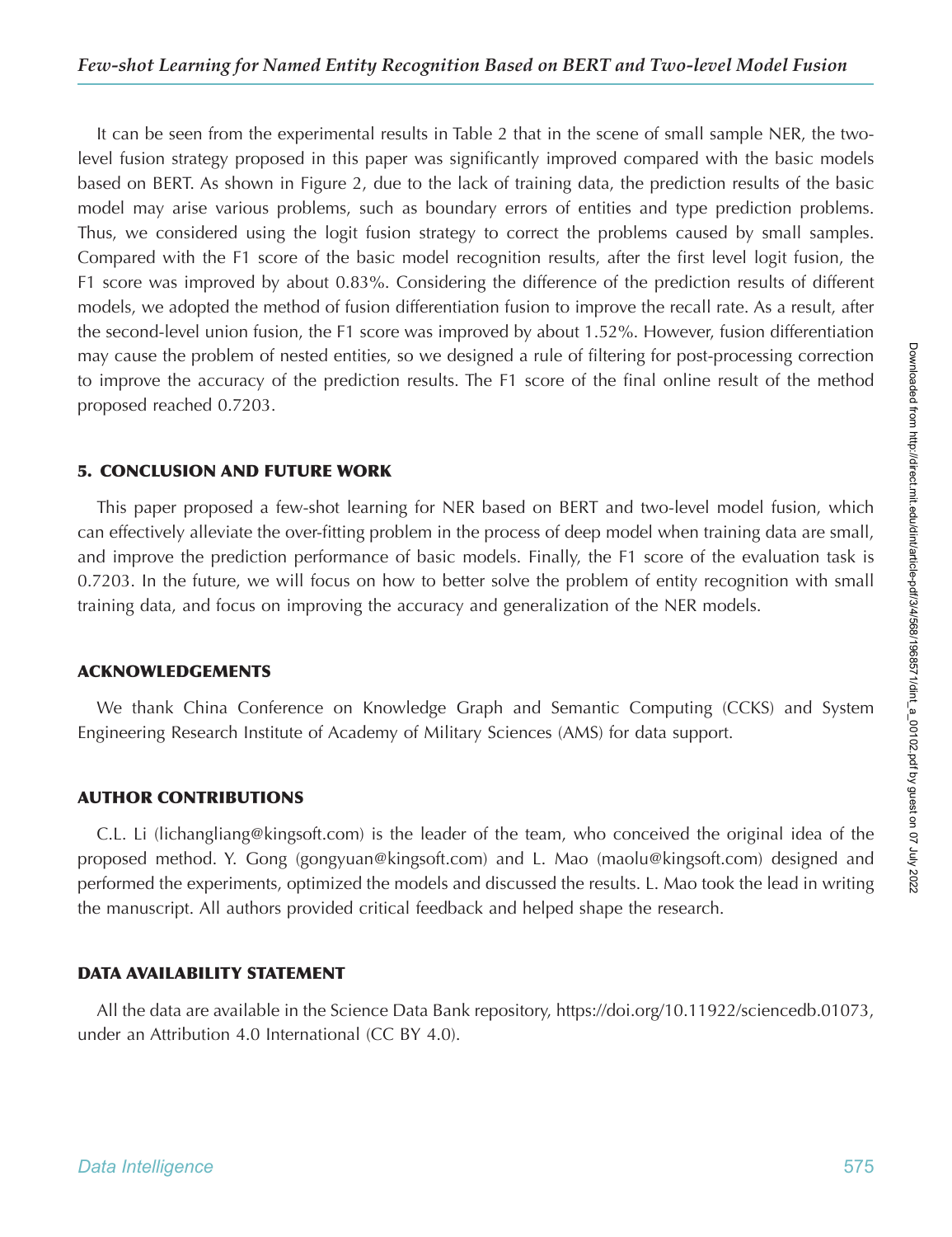It can be seen from the experimental results in Table 2 that in the scene of small sample NER, the twolevel fusion strategy proposed in this paper was significantly improved compared with the basic models based on BERT. As shown in Figure 2, due to the lack of training data, the prediction results of the basic model may arise various problems, such as boundary errors of entities and type prediction problems. Thus, we considered using the logit fusion strategy to correct the problems caused by small samples. Compared with the F1 score of the basic model recognition results, after the first level logit fusion, the F1 score was improved by about 0.83%. Considering the difference of the prediction results of different models, we adopted the method of fusion differentiation fusion to improve the recall rate. As a result, after the second-level union fusion, the F1 score was improved by about 1.52%. However, fusion differentiation may cause the problem of nested entities, so we designed a rule of filtering for post-processing correction to improve the accuracy of the prediction results. The F1 score of the final online result of the method proposed reached 0.7203.

## **5. CONCLUSION AND FUTURE WORK**

This paper proposed a few-shot learning for NER based on BERT and two-level model fusion, which can effectively alleviate the over-fitting problem in the process of deep model when training data are small, and improve the prediction performance of basic models. Finally, the F1 score of the evaluation task is 0.7203. In the future, we will focus on how to better solve the problem of entity recognition with small training data, and focus on improving the accuracy and generalization of the NER models.

# **ACKNOWLEDGEMENTS**

We thank China Conference on Knowledge Graph and Semantic Computing (CCKS) and System Engineering Research Institute of Academy of Military Sciences (AMS) for data support.

# **AUTHOR CONTRIBUTIONS**

C.L. Li (lichangliang@kingsoft.com) is the leader of the team, who conceived the original idea of the proposed method. Y. Gong (gongyuan@kingsoft.com) and L. Mao (maolu@kingsoft.com) designed and performed the experiments, optimized the models and discussed the results. L. Mao took the lead in writing the manuscript. All authors provided critical feedback and helped shape the research.

# **DATA AVAILABILITY STATEMENT**

All the data are available in the Science Data Bank repository, https://doi.org/10.11922/sciencedb.01073, under an Attribution 4.0 International (CC BY 4.0).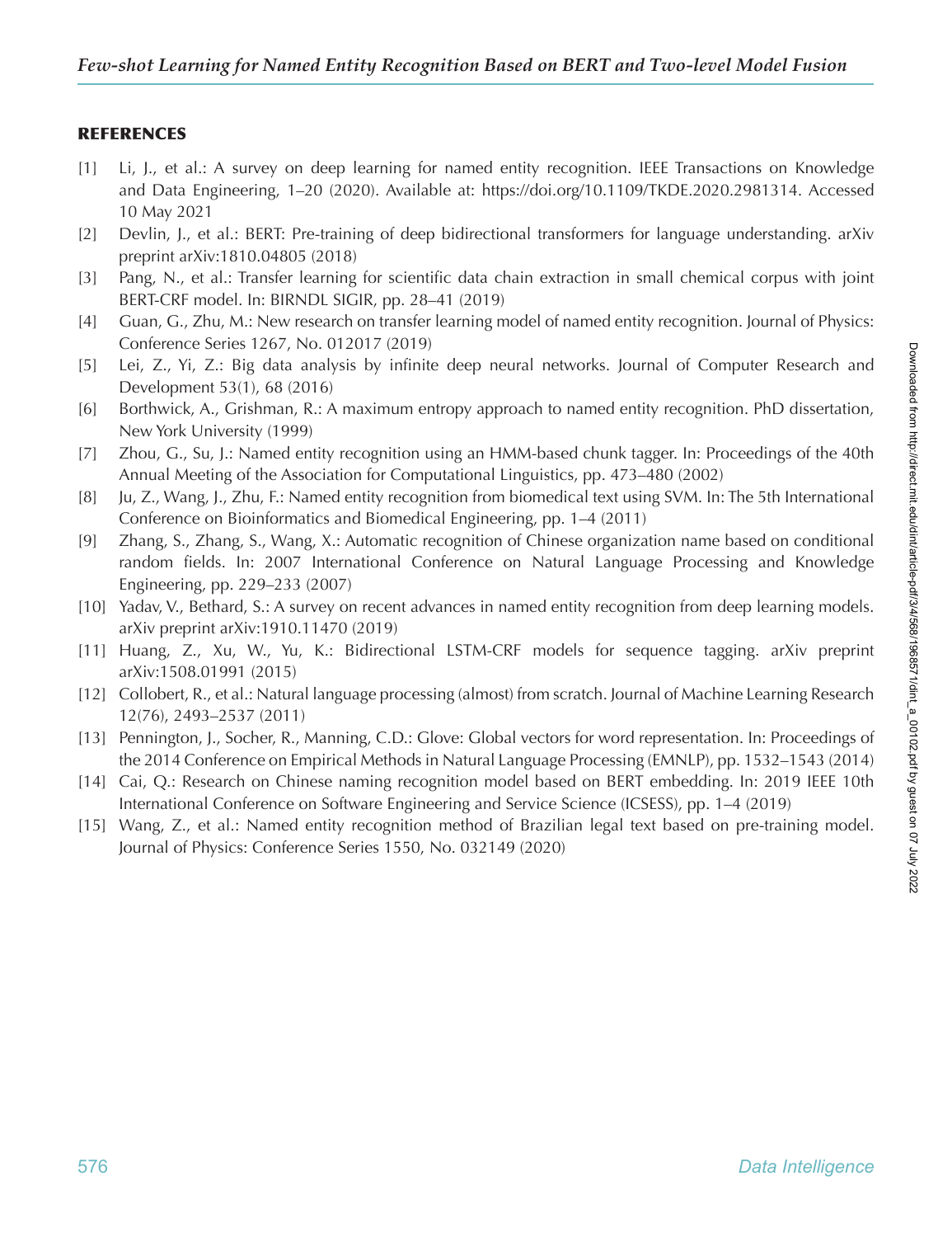# **REFERENCES**

- [1] Li, J., et al.: A survey on deep learning for named entity recognition. IEEE Transactions on Knowledge and Data Engineering, 1–20 (2020). Available at: https://doi.org/10.1109/TKDE.2020.2981314. Accessed 10 May 2021
- [2] Devlin, J., et al.: BERT: Pre-training of deep bidirectional transformers for language understanding. arXiv preprint arXiv:1810.04805 (2018)
- [3] Pang, N., et al.: Transfer learning for scientific data chain extraction in small chemical corpus with joint BERT-CRF model. In: BIRNDL SIGIR, pp. 28–41 (2019)
- [4] Guan, G., Zhu, M.: New research on transfer learning model of named entity recognition. Journal of Physics: Conference Series 1267, No. 012017 (2019)
- [5] Lei, Z., Yi, Z.: Big data analysis by infinite deep neural networks. Journal of Computer Research and Development 53(1), 68 (2016)
- [6] Borthwick, A., Grishman, R.: A maximum entropy approach to named entity recognition. PhD dissertation, New York University (1999)
- [7] Zhou, G., Su, J.: Named entity recognition using an HMM-based chunk tagger. In: Proceedings of the 40th Annual Meeting of the Association for Computational Linguistics, pp. 473–480 (2002)
- [8] Ju, Z., Wang, J., Zhu, F.: Named entity recognition from biomedical text using SVM. In: The 5th International Conference on Bioinformatics and Biomedical Engineering, pp. 1–4 (2011)
- [9] Zhang, S., Zhang, S., Wang, X.: Automatic recognition of Chinese organization name based on conditional random fields. In: 2007 International Conference on Natural Language Processing and Knowledge Engineering, pp. 229–233 (2007)
- [10] Yadav, V., Bethard, S.: A survey on recent advances in named entity recognition from deep learning models. arXiv preprint arXiv:1910.11470 (2019)
- [11] Huang, Z., Xu, W., Yu, K.: Bidirectional LSTM-CRF models for sequence tagging. arXiv preprint arXiv:1508.01991 (2015)
- [12] Collobert, R., et al.: Natural language processing (almost) from scratch. Journal of Machine Learning Research 12(76), 2493–2537 (2011)
- [13] Pennington, J., Socher, R., Manning, C.D.: Glove: Global vectors for word representation. In: Proceedings of the 2014 Conference on Empirical Methods in Natural Language Processing (EMNLP), pp. 1532–1543 (2014)
- [14] Cai, Q.: Research on Chinese naming recognition model based on BERT embedding. In: 2019 IEEE 10th International Conference on Software Engineering and Service Science (ICSESS), pp. 1–4 (2019)
- [15] Wang, Z., et al.: Named entity recognition method of Brazilian legal text based on pre-training model. Journal of Physics: Conference Series 1550, No. 032149 (2020)